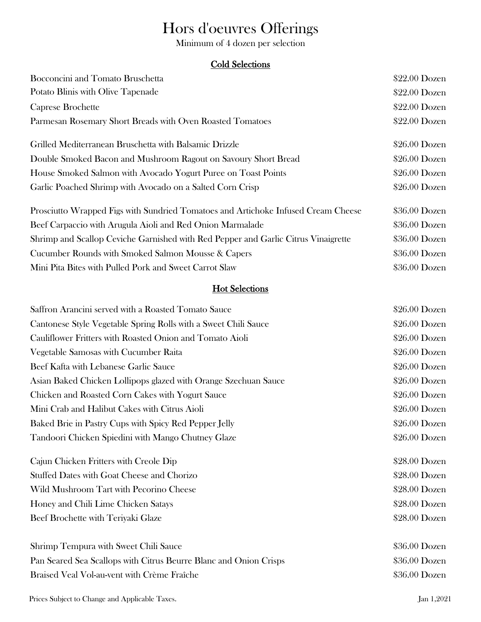# Hors d'oeuvres Offerings

Minimum of 4 dozen per selection

# Cold Selections

| Bocconcini and Tomato Bruschetta                                                   | \$22.00 Dozen  |
|------------------------------------------------------------------------------------|----------------|
| Potato Blinis with Olive Tapenade                                                  | $$22.00$ Dozen |
| Caprese Brochette                                                                  | \$22.00 Dozen  |
| Parmesan Rosemary Short Breads with Oven Roasted Tomatoes                          | \$22.00 Dozen  |
| Grilled Mediterranean Bruschetta with Balsamic Drizzle                             | $$26.00$ Dozen |
| Double Smoked Bacon and Mushroom Ragout on Savoury Short Bread                     | \$26.00 Dozen  |
| House Smoked Salmon with Avocado Yogurt Puree on Toast Points                      | \$26.00 Dozen  |
| Garlic Poached Shrimp with Avocado on a Salted Corn Crisp                          | \$26.00 Dozen  |
| Prosciutto Wrapped Figs with Sundried Tomatoes and Artichoke Infused Cream Cheese  | \$36.00 Dozen  |
| Beef Carpaccio with Arugula Aioli and Red Onion Marmalade                          | \$36.00 Dozen  |
| Shrimp and Scallop Ceviche Garnished with Red Pepper and Garlic Citrus Vinaigrette | \$36.00 Dozen  |
| Cucumber Rounds with Smoked Salmon Mousse & Capers                                 | \$36.00 Dozen  |
| Mini Pita Bites with Pulled Pork and Sweet Carrot Slaw                             | \$36.00 Dozen  |

# **Hot Selections**

| Saffron Arancini served with a Roasted Tomato Sauce               | $$26.00$ Dozen |
|-------------------------------------------------------------------|----------------|
| Cantonese Style Vegetable Spring Rolls with a Sweet Chili Sauce   | \$26.00 Dozen  |
| Cauliflower Fritters with Roasted Onion and Tomato Aioli          | \$26.00 Dozen  |
| Vegetable Samosas with Cucumber Raita                             | \$26.00 Dozen  |
| Beef Kafta with Lebanese Garlic Sauce                             | \$26.00 Dozen  |
| Asian Baked Chicken Lollipops glazed with Orange Szechuan Sauce   | \$26.00 Dozen  |
| Chicken and Roasted Corn Cakes with Yogurt Sauce                  | \$26.00 Dozen  |
| Mini Crab and Halibut Cakes with Citrus Aioli                     | \$26.00 Dozen  |
| Baked Brie in Pastry Cups with Spicy Red Pepper Jelly             | \$26.00 Dozen  |
| Tandoori Chicken Spiedini with Mango Chutney Glaze                | \$26.00 Dozen  |
| Cajun Chicken Fritters with Creole Dip                            | \$28.00 Dozen  |
| <b>Stuffed Dates with Goat Cheese and Chorizo</b>                 | \$28.00 Dozen  |
| Wild Mushroom Tart with Pecorino Cheese                           | $$28.00$ Dozen |
| Honey and Chili Lime Chicken Satays                               | \$28.00 Dozen  |
| Beef Brochette with Teriyaki Glaze                                | \$28.00 Dozen  |
| Shrimp Tempura with Sweet Chili Sauce                             | \$36.00 Dozen  |
| Pan Seared Sea Scallops with Citrus Beurre Blanc and Onion Crisps | \$36.00 Dozen  |
| Braised Veal Vol-au-vent with Crème Fraîche                       | \$36.00 Dozen  |
|                                                                   |                |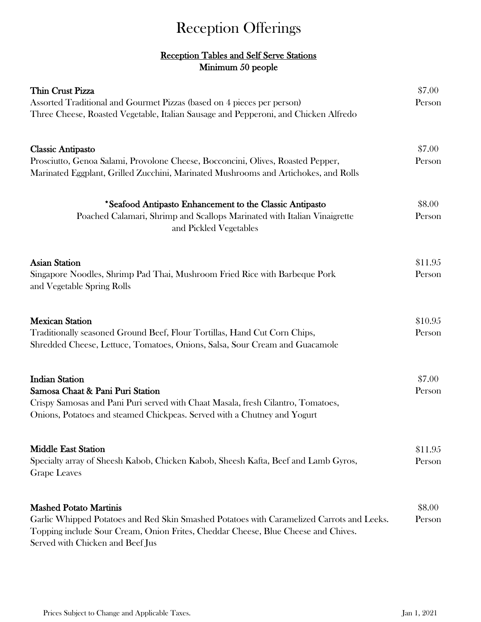# Reception Offerings

# Reception Tables and Self Serve Stations Minimum 50 people

| Thin Crust Pizza<br>Assorted Traditional and Gourmet Pizzas (based on 4 pieces per person)<br>Three Cheese, Roasted Vegetable, Italian Sausage and Pepperoni, and Chicken Alfredo                                                                   | \$7.00<br>Person  |
|-----------------------------------------------------------------------------------------------------------------------------------------------------------------------------------------------------------------------------------------------------|-------------------|
| <b>Classic Antipasto</b><br>Prosciutto, Genoa Salami, Provolone Cheese, Bocconcini, Olives, Roasted Pepper,<br>Marinated Eggplant, Grilled Zucchini, Marinated Mushrooms and Artichokes, and Rolls                                                  | \$7.00<br>Person  |
| *Seafood Antipasto Enhancement to the Classic Antipasto<br>Poached Calamari, Shrimp and Scallops Marinated with Italian Vinaigrette<br>and Pickled Vegetables                                                                                       | \$8.00<br>Person  |
| <b>Asian Station</b><br>Singapore Noodles, Shrimp Pad Thai, Mushroom Fried Rice with Barbeque Pork<br>and Vegetable Spring Rolls                                                                                                                    | \$11.95<br>Person |
| <b>Mexican Station</b><br>Traditionally seasoned Ground Beef, Flour Tortillas, Hand Cut Corn Chips,<br>Shredded Cheese, Lettuce, Tomatoes, Onions, Salsa, Sour Cream and Guacamole                                                                  | \$10.95<br>Person |
| <b>Indian Station</b><br>Samosa Chaat & Pani Puri Station<br>Crispy Samosas and Pani Puri served with Chaat Masala, fresh Cilantro, Tomatoes,<br>Onions, Potatoes and steamed Chickpeas. Served with a Chutney and Yogurt                           | \$7.00<br>Person  |
| <b>Middle East Station</b><br>Specialty array of Sheesh Kabob, Chicken Kabob, Sheesh Kafta, Beef and Lamb Gyros,<br><b>Grape Leaves</b>                                                                                                             | \$11.95<br>Person |
| <b>Mashed Potato Martinis</b><br>Garlic Whipped Potatoes and Red Skin Smashed Potatoes with Caramelized Carrots and Leeks.<br>Topping include Sour Cream, Onion Frites, Cheddar Cheese, Blue Cheese and Chives.<br>Served with Chicken and Beef Jus | \$8.00<br>Person  |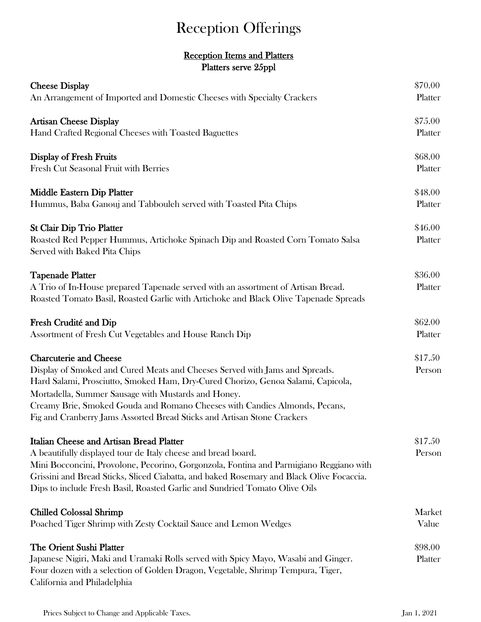# Reception Offerings

# Platters serve 25ppl Reception Items and Platters

| <b>Cheese Display</b>                                                                                                                                                                                                                                                                                                                                                                                           | \$70.00            |
|-----------------------------------------------------------------------------------------------------------------------------------------------------------------------------------------------------------------------------------------------------------------------------------------------------------------------------------------------------------------------------------------------------------------|--------------------|
| An Arrangement of Imported and Domestic Cheeses with Specialty Crackers                                                                                                                                                                                                                                                                                                                                         | Platter            |
| <b>Artisan Cheese Display</b>                                                                                                                                                                                                                                                                                                                                                                                   | \$75.00            |
| Hand Crafted Regional Cheeses with Toasted Baguettes                                                                                                                                                                                                                                                                                                                                                            | Platter            |
| <b>Display of Fresh Fruits</b>                                                                                                                                                                                                                                                                                                                                                                                  | \$68.00            |
| Fresh Cut Seasonal Fruit with Berries                                                                                                                                                                                                                                                                                                                                                                           | Platter            |
| Middle Eastern Dip Platter                                                                                                                                                                                                                                                                                                                                                                                      | \$48.00            |
| Hummus, Baba Ganouj and Tabbouleh served with Toasted Pita Chips                                                                                                                                                                                                                                                                                                                                                | Platter            |
| <b>St Clair Dip Trio Platter</b><br>Roasted Red Pepper Hummus, Artichoke Spinach Dip and Roasted Corn Tomato Salsa<br>Served with Baked Pita Chips                                                                                                                                                                                                                                                              | \$46.00<br>Platter |
| <b>Tapenade Platter</b><br>A Trio of In-House prepared Tapenade served with an assortment of Artisan Bread.<br>Roasted Tomato Basil, Roasted Garlic with Artichoke and Black Olive Tapenade Spreads                                                                                                                                                                                                             | \$36.00<br>Platter |
| Fresh Crudité and Dip                                                                                                                                                                                                                                                                                                                                                                                           | \$62.00            |
| Assortment of Fresh Cut Vegetables and House Ranch Dip                                                                                                                                                                                                                                                                                                                                                          | Platter            |
| <b>Charcuterie and Cheese</b><br>Display of Smoked and Cured Meats and Cheeses Served with Jams and Spreads.<br>Hard Salami, Prosciutto, Smoked Ham, Dry-Cured Chorizo, Genoa Salami, Capicola,<br>Mortadella, Summer Sausage with Mustards and Honey.<br>Creamy Brie, Smoked Gouda and Romano Cheeses with Candies Almonds, Pecans,<br>Fig and Cranberry Jams Assorted Bread Sticks and Artisan Stone Crackers | \$17.50<br>Person  |
| <b>Italian Cheese and Artisan Bread Platter</b><br>A beautifully displayed tour de Italy cheese and bread board.<br>Mini Bocconcini, Provolone, Pecorino, Gorgonzola, Fontina and Parmigiano Reggiano with<br>Grissini and Bread Sticks, Sliced Ciabatta, and baked Rosemary and Black Olive Focaccia.<br>Dips to include Fresh Basil, Roasted Garlic and Sundried Tomato Olive Oils                            | \$17.50<br>Person  |
| <b>Chilled Colossal Shrimp</b>                                                                                                                                                                                                                                                                                                                                                                                  | Market             |
| Poached Tiger Shrimp with Zesty Cocktail Sauce and Lemon Wedges                                                                                                                                                                                                                                                                                                                                                 | Value              |
| The Orient Sushi Platter<br>Japanese Nigiri, Maki and Uramaki Rolls served with Spicy Mayo, Wasabi and Ginger.<br>Four dozen with a selection of Golden Dragon, Vegetable, Shrimp Tempura, Tiger,<br>California and Philadelphia                                                                                                                                                                                | \$98.00<br>Platter |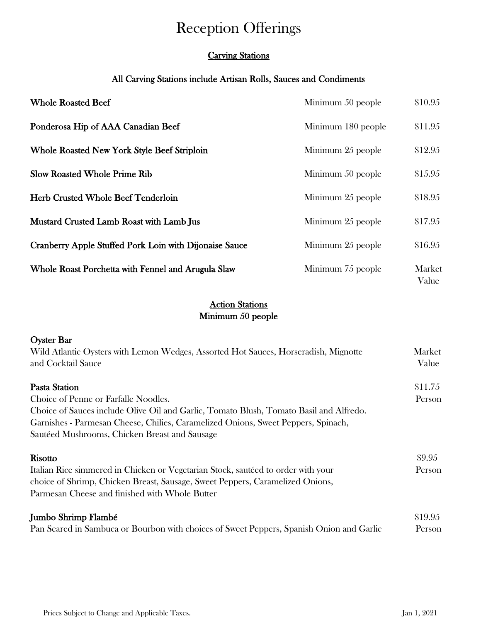# Reception Offerings

# Carving Stations

# All Carving Stations include Artisan Rolls, Sauces and Condiments

| <b>Whole Roasted Beef</b>                              | Minimum 50 people  | \$10.95         |
|--------------------------------------------------------|--------------------|-----------------|
| Ponderosa Hip of AAA Canadian Beef                     | Minimum 180 people | \$11.95         |
| <b>Whole Roasted New York Style Beef Striploin</b>     | Minimum 25 people  | \$12.95         |
| <b>Slow Roasted Whole Prime Rib</b>                    | Minimum 50 people  | \$15.95         |
| <b>Herb Crusted Whole Beef Tenderloin</b>              | Minimum 25 people  | \$18.95         |
| Mustard Crusted Lamb Roast with Lamb Jus               | Minimum 25 people  | \$17.95         |
| Cranberry Apple Stuffed Pork Loin with Dijonaise Sauce | Minimum 25 people  | \$16.95         |
| Whole Roast Porchetta with Fennel and Arugula Slaw     | Minimum 75 people  | Market<br>Value |

# Minimum 50 people **Action Stations**

| <b>Oyster Bar</b>                                                                        |         |  |  |
|------------------------------------------------------------------------------------------|---------|--|--|
| Wild Atlantic Oysters with Lemon Wedges, Assorted Hot Sauces, Horseradish, Mignotte      | Market  |  |  |
| and Cocktail Sauce                                                                       | Value   |  |  |
| Pasta Station                                                                            | \$11.75 |  |  |
| Choice of Penne or Farfalle Noodles.                                                     | Person  |  |  |
| Choice of Sauces include Olive Oil and Garlic, Tomato Blush, Tomato Basil and Alfredo.   |         |  |  |
| Garnishes - Parmesan Cheese, Chilies, Caramelized Onions, Sweet Peppers, Spinach,        |         |  |  |
| Sautéed Mushrooms, Chicken Breast and Sausage                                            |         |  |  |
| <b>Risotto</b>                                                                           | \$9.95  |  |  |
| Italian Rice simmered in Chicken or Vegetarian Stock, sautéed to order with your         | Person  |  |  |
| choice of Shrimp, Chicken Breast, Sausage, Sweet Peppers, Caramelized Onions,            |         |  |  |
| Parmesan Cheese and finished with Whole Butter                                           |         |  |  |
| Jumbo Shrimp Flambé                                                                      | \$19.95 |  |  |
| Pan Seared in Sambuca or Bourbon with choices of Sweet Peppers, Spanish Onion and Garlic | Person  |  |  |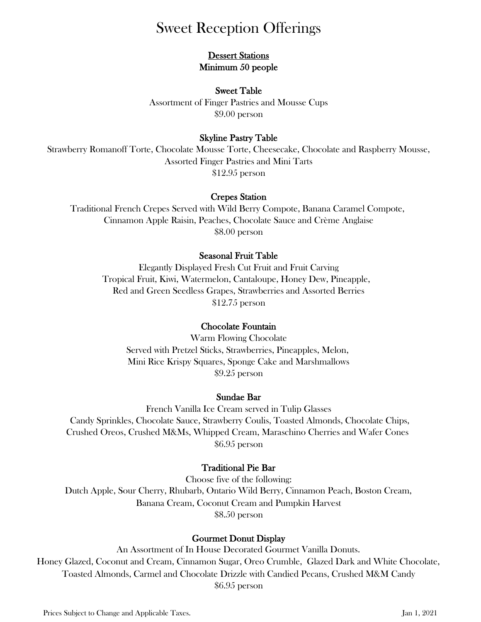# Sweet Reception Offerings

# **Dessert Stations** Minimum 50 people

# Sweet Table Assortment of Finger Pastries and Mousse Cups \$9.00 person

# Skyline Pastry Table

Strawberry Romanoff Torte, Chocolate Mousse Torte, Cheesecake, Chocolate and Raspberry Mousse, Assorted Finger Pastries and Mini Tarts \$12.95 person

# Crepes Station

Cinnamon Apple Raisin, Peaches, Chocolate Sauce and Crème Anglaise Traditional French Crepes Served with Wild Berry Compote, Banana Caramel Compote, \$8.00 person

# Seasonal Fruit Table

\$12.75 person Tropical Fruit, Kiwi, Watermelon, Cantaloupe, Honey Dew, Pineapple, Elegantly Displayed Fresh Cut Fruit and Fruit Carving Red and Green Seedless Grapes, Strawberries and Assorted Berries

# Chocolate Fountain

Served with Pretzel Sticks, Strawberries, Pineapples, Melon, Mini Rice Krispy Squares, Sponge Cake and Marshmallows \$9.25 person Warm Flowing Chocolate

# Sundae Bar

Crushed Oreos, Crushed M&Ms, Whipped Cream, Maraschino Cherries and Wafer Cones Candy Sprinkles, Chocolate Sauce, Strawberry Coulis, Toasted Almonds, Chocolate Chips, French Vanilla Ice Cream served in Tulip Glasses \$6.95 person

# Traditional Pie Bar

Choose five of the following: \$8.50 person Banana Cream, Coconut Cream and Pumpkin Harvest Dutch Apple, Sour Cherry, Rhubarb, Ontario Wild Berry, Cinnamon Peach, Boston Cream,

# Gourmet Donut Display

Toasted Almonds, Carmel and Chocolate Drizzle with Candied Pecans, Crushed M&M Candy Honey Glazed, Coconut and Cream, Cinnamon Sugar, Oreo Crumble, Glazed Dark and White Chocolate, An Assortment of In House Decorated Gourmet Vanilla Donuts. \$6.95 person

Prices Subject to Change and Applicable Taxes. Jan 1, 2021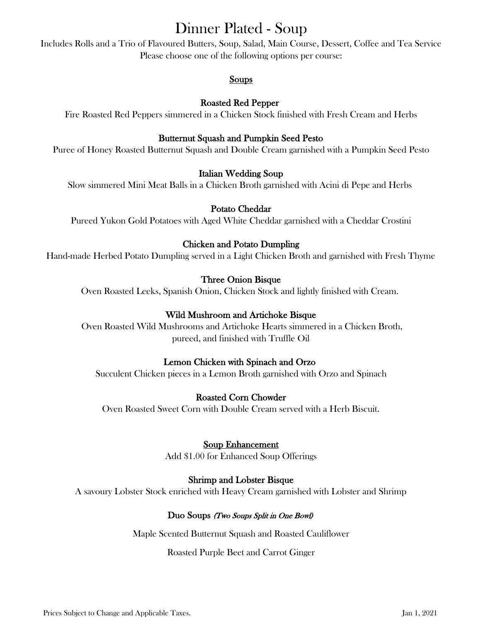# Dinner Plated - Soup

Includes Rolls and a Trio of Flavoured Butters, Soup, Salad, Main Course, Dessert, Coffee and Tea Service Please choose one of the following options per course:

# Soups

# Roasted Red Pepper

Fire Roasted Red Peppers simmered in a Chicken Stock finished with Fresh Cream and Herbs

# Butternut Squash and Pumpkin Seed Pesto

Puree of Honey Roasted Butternut Squash and Double Cream garnished with a Pumpkin Seed Pesto

# Italian Wedding Soup

Slow simmered Mini Meat Balls in a Chicken Broth garnished with Acini di Pepe and Herbs

# Potato Cheddar

Pureed Yukon Gold Potatoes with Aged White Cheddar garnished with a Cheddar Crostini

# Chicken and Potato Dumpling

Hand-made Herbed Potato Dumpling served in a Light Chicken Broth and garnished with Fresh Thyme

# Three Onion Bisque

Oven Roasted Leeks, Spanish Onion, Chicken Stock and lightly finished with Cream.

# Wild Mushroom and Artichoke Bisque

 Oven Roasted Wild Mushrooms and Artichoke Hearts simmered in a Chicken Broth, pureed, and finished with Truffle Oil

# Lemon Chicken with Spinach and Orzo

Succulent Chicken pieces in a Lemon Broth garnished with Orzo and Spinach

# Roasted Corn Chowder

Oven Roasted Sweet Corn with Double Cream served with a Herb Biscuit.

# Soup Enhancement

Add \$1.00 for Enhanced Soup Offerings

# Shrimp and Lobster Bisque

A savoury Lobster Stock enriched with Heavy Cream garnished with Lobster and Shrimp

# Duo Soups (Two Soups Split in One Bowl)

Maple Scented Butternut Squash and Roasted Cauliflower

#### Roasted Purple Beet and Carrot Ginger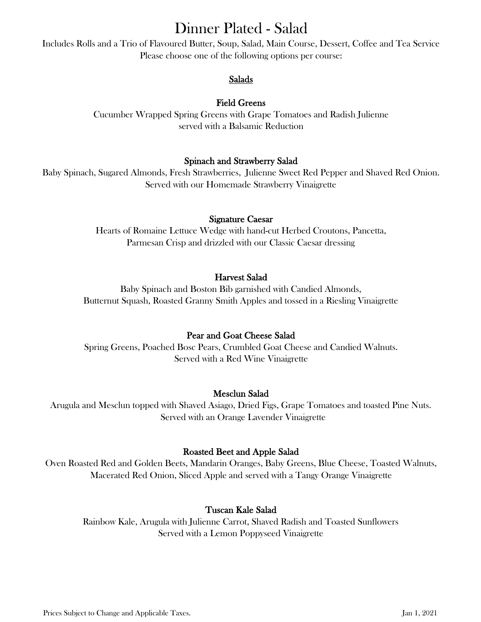# Dinner Plated - Salad

Includes Rolls and a Trio of Flavoured Butter, Soup, Salad, Main Course, Dessert, Coffee and Tea Service Please choose one of the following options per course:

# Salads

# Field Greens

Cucumber Wrapped Spring Greens with Grape Tomatoes and Radish Julienne served with a Balsamic Reduction

# Spinach and Strawberry Salad

Baby Spinach, Sugared Almonds, Fresh Strawberries, Julienne Sweet Red Pepper and Shaved Red Onion. Served with our Homemade Strawberry Vinaigrette

# Signature Caesar

Hearts of Romaine Lettuce Wedge with hand-cut Herbed Croutons, Pancetta, Parmesan Crisp and drizzled with our Classic Caesar dressing

# Harvest Salad

Baby Spinach and Boston Bib garnished with Candied Almonds, Butternut Squash, Roasted Granny Smith Apples and tossed in a Riesling Vinaigrette

# Pear and Goat Cheese Salad

Spring Greens, Poached Bosc Pears, Crumbled Goat Cheese and Candied Walnuts. Served with a Red Wine Vinaigrette

# Mesclun Salad

Arugula and Mesclun topped with Shaved Asiago, Dried Figs, Grape Tomatoes and toasted Pine Nuts. Served with an Orange Lavender Vinaigrette

# Roasted Beet and Apple Salad

Oven Roasted Red and Golden Beets, Mandarin Oranges, Baby Greens, Blue Cheese, Toasted Walnuts, Macerated Red Onion, Sliced Apple and served with a Tangy Orange Vinaigrette

# Tuscan Kale Salad

Rainbow Kale, Arugula with Julienne Carrot, Shaved Radish and Toasted Sunflowers Served with a Lemon Poppyseed Vinaigrette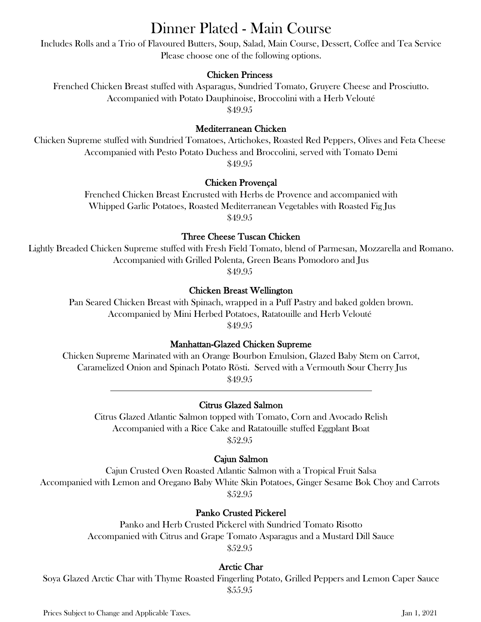# Dinner Plated - Main Course

Includes Rolls and a Trio of Flavoured Butters, Soup, Salad, Main Course, Dessert, Coffee and Tea Service Please choose one of the following options.

# Chicken Princess

Frenched Chicken Breast stuffed with Asparagus, Sundried Tomato, Gruyere Cheese and Prosciutto. Accompanied with Potato Dauphinoise, Broccolini with a Herb Velouté \$49.95

### Mediterranean Chicken

Chicken Supreme stuffed with Sundried Tomatoes, Artichokes, Roasted Red Peppers, Olives and Feta Cheese Accompanied with Pesto Potato Duchess and Broccolini, served with Tomato Demi \$49.95

### Chicken Provençal

Frenched Chicken Breast Encrusted with Herbs de Provence and accompanied with Whipped Garlic Potatoes, Roasted Mediterranean Vegetables with Roasted Fig Jus \$49.95

### Three Cheese Tuscan Chicken

Lightly Breaded Chicken Supreme stuffed with Fresh Field Tomato, blend of Parmesan, Mozzarella and Romano. Accompanied with Grilled Polenta, Green Beans Pomodoro and Jus

\$49.95

### Chicken Breast Wellington

Pan Seared Chicken Breast with Spinach, wrapped in a Puff Pastry and baked golden brown. Accompanied by Mini Herbed Potatoes, Ratatouille and Herb Velouté \$49.95

#### Manhattan-Glazed Chicken Supreme

Chicken Supreme Marinated with an Orange Bourbon Emulsion, Glazed Baby Stem on Carrot, Caramelized Onion and Spinach Potato Rösti. Served with a Vermouth Sour Cherry Jus \$49.95 l

#### Citrus Glazed Salmon

Citrus Glazed Atlantic Salmon topped with Tomato, Corn and Avocado Relish Accompanied with a Rice Cake and Ratatouille stuffed Eggplant Boat \$52.95

# Cajun Salmon

Cajun Crusted Oven Roasted Atlantic Salmon with a Tropical Fruit Salsa Accompanied with Lemon and Oregano Baby White Skin Potatoes, Ginger Sesame Bok Choy and Carrots \$52.95

# Panko Crusted Pickerel

Panko and Herb Crusted Pickerel with Sundried Tomato Risotto Accompanied with Citrus and Grape Tomato Asparagus and a Mustard Dill Sauce \$52.95

# Arctic Char

Soya Glazed Arctic Char with Thyme Roasted Fingerling Potato, Grilled Peppers and Lemon Caper Sauce \$55.95

Prices Subject to Change and Applicable Taxes. Jan 1, 2021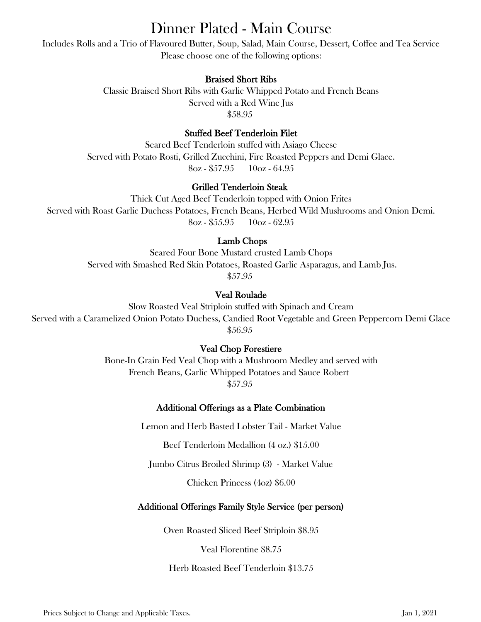# Dinner Plated - Main Course

Includes Rolls and a Trio of Flavoured Butter, Soup, Salad, Main Course, Dessert, Coffee and Tea Service Please choose one of the following options:

# Braised Short Ribs

Classic Braised Short Ribs with Garlic Whipped Potato and French Beans Served with a Red Wine Jus \$58.95

### Stuffed Beef Tenderloin Filet

Seared Beef Tenderloin stuffed with Asiago Cheese Served with Potato Rosti, Grilled Zucchini, Fire Roasted Peppers and Demi Glace.  $8oz - $57.95$  10oz - 64.95

### Grilled Tenderloin Steak

Thick Cut Aged Beef Tenderloin topped with Onion Frites Served with Roast Garlic Duchess Potatoes, French Beans, Herbed Wild Mushrooms and Onion Demi.  $8oz - $55.95$  10oz - 62.95

# Lamb Chops

Seared Four Bone Mustard crusted Lamb Chops Served with Smashed Red Skin Potatoes, Roasted Garlic Asparagus, and Lamb Jus. \$57.95

# Veal Roulade

Slow Roasted Veal Striploin stuffed with Spinach and Cream Served with a Caramelized Onion Potato Duchess, Candied Root Vegetable and Green Peppercorn Demi Glace \$56.95

# Veal Chop Forestiere

Bone-In Grain Fed Veal Chop with a Mushroom Medley and served with French Beans, Garlic Whipped Potatoes and Sauce Robert \$57.95

# Additional Offerings as a Plate Combination

Lemon and Herb Basted Lobster Tail - Market Value

Beef Tenderloin Medallion (4 oz.) \$15.00

Jumbo Citrus Broiled Shrimp (3) - Market Value

Chicken Princess (4oz) \$6.00

# Additional Offerings Family Style Service (per person)

Oven Roasted Sliced Beef Striploin \$8.95

Veal Florentine \$8.75

Herb Roasted Beef Tenderloin \$13.75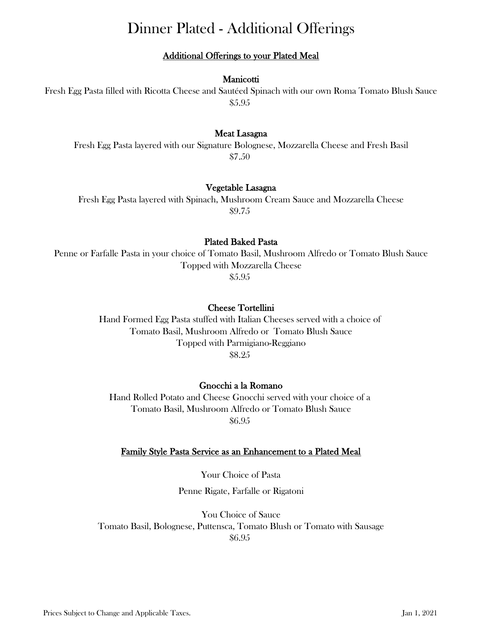# Dinner Plated - Additional Offerings

# Additional Offerings to your Plated Meal

#### Manicotti

Fresh Egg Pasta filled with Ricotta Cheese and Sautéed Spinach with our own Roma Tomato Blush Sauce \$5.95

#### Meat Lasagna

Fresh Egg Pasta layered with our Signature Bolognese, Mozzarella Cheese and Fresh Basil \$7.50

#### Vegetable Lasagna

Fresh Egg Pasta layered with Spinach, Mushroom Cream Sauce and Mozzarella Cheese \$9.75

#### Plated Baked Pasta

Penne or Farfalle Pasta in your choice of Tomato Basil, Mushroom Alfredo or Tomato Blush Sauce Topped with Mozzarella Cheese \$5.95

#### Cheese Tortellini

Hand Formed Egg Pasta stuffed with Italian Cheeses served with a choice of Tomato Basil, Mushroom Alfredo or Tomato Blush Sauce Topped with Parmigiano-Reggiano \$8.25

#### Gnocchi a la Romano

Hand Rolled Potato and Cheese Gnocchi served with your choice of a Tomato Basil, Mushroom Alfredo or Tomato Blush Sauce \$6.95

#### Family Style Pasta Service as an Enhancement to a Plated Meal

Your Choice of Pasta Penne Rigate, Farfalle or Rigatoni

You Choice of Sauce Tomato Basil, Bolognese, Puttensca, Tomato Blush or Tomato with Sausage \$6.95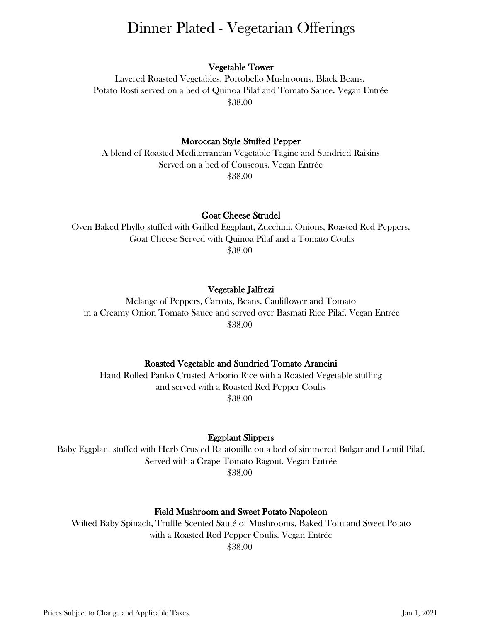# Dinner Plated - Vegetarian Offerings

#### Vegetable Tower

Layered Roasted Vegetables, Portobello Mushrooms, Black Beans, Potato Rosti served on a bed of Quinoa Pilaf and Tomato Sauce. Vegan Entrée \$38.00

#### Moroccan Style Stuffed Pepper

A blend of Roasted Mediterranean Vegetable Tagine and Sundried Raisins Served on a bed of Couscous. Vegan Entrée \$38.00

#### Goat Cheese Strudel

Oven Baked Phyllo stuffed with Grilled Eggplant, Zucchini, Onions, Roasted Red Peppers, Goat Cheese Served with Quinoa Pilaf and a Tomato Coulis \$38.00

#### Vegetable Jalfrezi

Melange of Peppers, Carrots, Beans, Cauliflower and Tomato in a Creamy Onion Tomato Sauce and served over Basmati Rice Pilaf. Vegan Entrée \$38.00

#### Roasted Vegetable and Sundried Tomato Arancini

Hand Rolled Panko Crusted Arborio Rice with a Roasted Vegetable stuffing and served with a Roasted Red Pepper Coulis \$38.00

#### Eggplant Slippers

Baby Eggplant stuffed with Herb Crusted Ratatouille on a bed of simmered Bulgar and Lentil Pilaf. Served with a Grape Tomato Ragout. Vegan Entrée \$38.00

#### Field Mushroom and Sweet Potato Napoleon

Wilted Baby Spinach, Truffle Scented Sauté of Mushrooms, Baked Tofu and Sweet Potato with a Roasted Red Pepper Coulis. Vegan Entrée \$38.00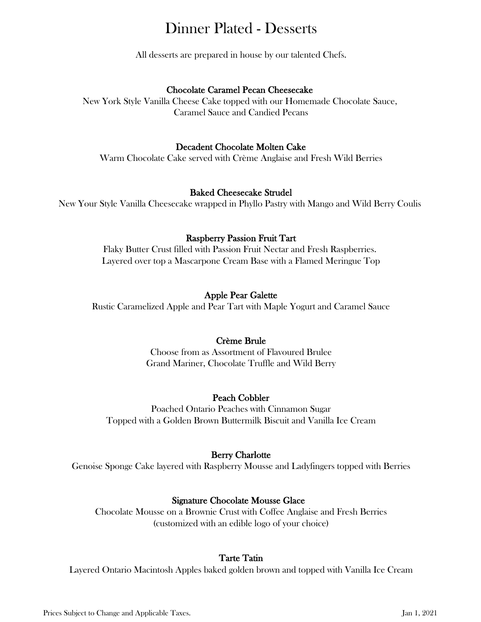# Dinner Plated - Desserts

All desserts are prepared in house by our talented Chefs.

# Chocolate Caramel Pecan Cheesecake

New York Style Vanilla Cheese Cake topped with our Homemade Chocolate Sauce, Caramel Sauce and Candied Pecans

# Decadent Chocolate Molten Cake

Warm Chocolate Cake served with Crème Anglaise and Fresh Wild Berries

### Baked Cheesecake Strudel

New Your Style Vanilla Cheesecake wrapped in Phyllo Pastry with Mango and Wild Berry Coulis

# Raspberry Passion Fruit Tart

Flaky Butter Crust filled with Passion Fruit Nectar and Fresh Raspberries. Layered over top a Mascarpone Cream Base with a Flamed Meringue Top

# Apple Pear Galette

Rustic Caramelized Apple and Pear Tart with Maple Yogurt and Caramel Sauce

# Crème Brule

Choose from as Assortment of Flavoured Brulee Grand Mariner, Chocolate Truffle and Wild Berry

# Peach Cobbler

Poached Ontario Peaches with Cinnamon Sugar Topped with a Golden Brown Buttermilk Biscuit and Vanilla Ice Cream

# Berry Charlotte

Genoise Sponge Cake layered with Raspberry Mousse and Ladyfingers topped with Berries

# Signature Chocolate Mousse Glace

Chocolate Mousse on a Brownie Crust with Coffee Anglaise and Fresh Berries (customized with an edible logo of your choice)

# Tarte Tatin

Layered Ontario Macintosh Apples baked golden brown and topped with Vanilla Ice Cream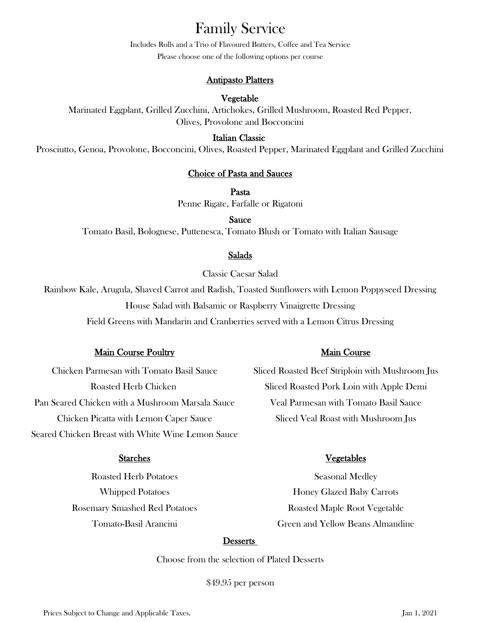# Family Service

Please choose one of the following options per course Includes Rolls and a Trio of Flavoured Butters, Coffee and Tea Service

### Antipasto Platters

### Vegetable

Marinated Eggplant, Grilled Zucchini, Artichokes, Grilled Mushroom, Roasted Red Pepper, Olives, Provolone and Bocconcini

#### Italian Classic

Prosciutto, Genoa, Provolone, Bocconcini, Olives, Roasted Pepper, Marinated Eggplant and Grilled Zucchini

#### Choice of Pasta and Sauces

Pasta

Penne Rigate, Farfalle or Rigatoni

Sauce

Tomato Basil, Bolognese, Puttenesca, Tomato Blush or Tomato with Italian Sausage

#### Salads

Classic Caesar Salad

Rainbow Kale, Arugula, Shaved Carrot and Radish, Toasted Sunflowers with Lemon Poppyseed Dressing House Salad with Balsamic or Raspberry Vinaigrette Dressing Field Greens with Mandarin and Cranberries served with a Lemon Citrus Dressing

#### Main Course Poultry Main Course

Pan Seared Chicken with a Mushroom Marsala Sauce Veal Parmesan with Tomato Basil Sauce Chicken Picatta with Lemon Caper Sauce Sliced Veal Roast with Mushroom Jus Seared Chicken Breast with White Wine Lemon Sauce

Roasted Herb Potatoes Seasonal Medley Rosemary Smashed Red Potatoes **Roasted Maple Root Vegetable** 

Chicken Parmesan with Tomato Basil Sauce Sliced Roasted Beef Striploin with Mushroom Jus Roasted Herb Chicken Sliced Roasted Pork Loin with Apple Demi

#### Starches Vegetables

Whipped Potatoes **Honey Glazed Baby Carrots** Tomato-Basil Arancini Green and Yellow Beans Almandine

#### **Desserts**

Choose from the selection of Plated Desserts

\$49.95 per person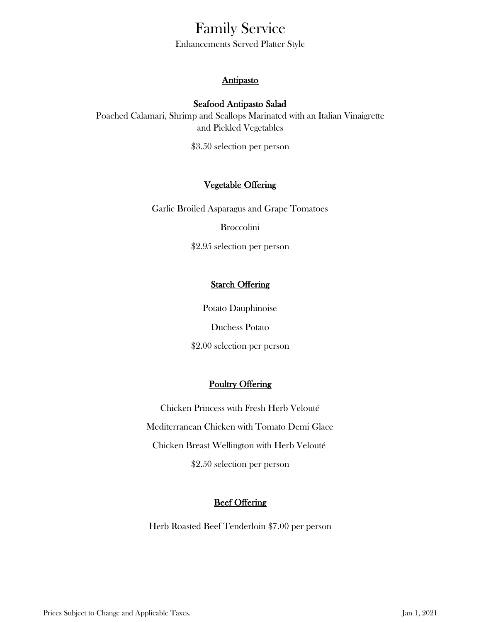# Family Service

Enhancements Served Platter Style

# **Antipasto**

# Seafood Antipasto Salad

and Pickled Vegetables Poached Calamari, Shrimp and Scallops Marinated with an Italian Vinaigrette

\$3.50 selection per person

# Vegetable Offering

Garlic Broiled Asparagus and Grape Tomatoes

Broccolini

\$2.95 selection per person

# **Starch Offering**

Potato Dauphinoise Duchess Potato

\$2.00 selection per person

# Poultry Offering

\$2.50 selection per person Chicken Princess with Fresh Herb Velouté Mediterranean Chicken with Tomato Demi Glace Chicken Breast Wellington with Herb Velouté

# **Beef Offering**

Herb Roasted Beef Tenderloin \$7.00 per person